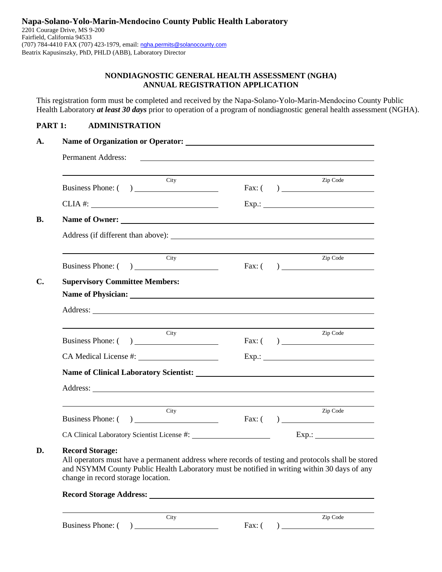## **NONDIAGNOSTIC GENERAL HEALTH ASSESSMENT (NGHA) ANNUAL REGISTRATION APPLICATION**

This registration form must be completed and received by the Napa-Solano-Yolo-Marin-Mendocino County Public Health Laboratory *at least 30 days* prior to operation of a program of nondiagnostic general health assessment (NGHA).

### **PART 1: ADMINISTRATION**

| City<br>Business Phone: ( )           | Zip Code |
|---------------------------------------|----------|
|                                       |          |
|                                       |          |
| Name of Owner:                        |          |
|                                       |          |
| City<br>Business Phone: ()            | Zip Code |
| <b>Supervisory Committee Members:</b> |          |
|                                       |          |
|                                       |          |
| City<br>Business Phone: ()            | Zip Code |
| CA Medical License #:                 | $Exp.$ : |
|                                       |          |
|                                       |          |
| City                                  | Zip Code |
| Business Phone: ()                    |          |

### **D. Record Storage:**

All operators must have a permanent address where records of testing and protocols shall be stored and NSYMM County Public Health Laboratory must be notified in writing within 30 days of any change in record storage location.

### **Record Storage Address:**

 $Bussiness Phone: ( )$  Fax: ( )

City Zip Code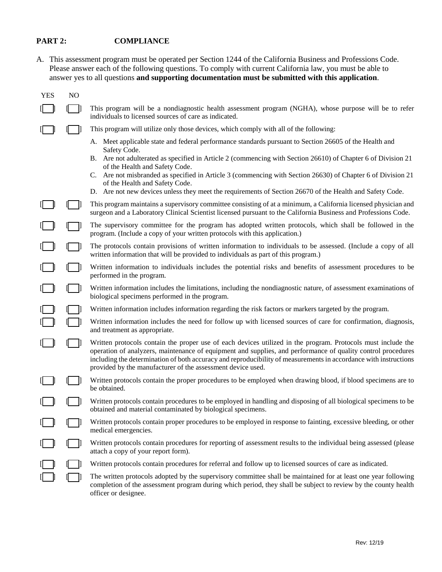# **PART 2: COMPLIANCE**

A. This assessment program must be operated per Section 1244 of the California Business and Professions Code. Please answer each of the following questions. To comply with current California law, you must be able to answer yes to all questions **and supporting documentation must be submitted with this application**.

| <b>YES</b> | N <sub>O</sub> |                                                                                                                                                                                                                                                                                                                                                                                                                 |
|------------|----------------|-----------------------------------------------------------------------------------------------------------------------------------------------------------------------------------------------------------------------------------------------------------------------------------------------------------------------------------------------------------------------------------------------------------------|
|            |                | This program will be a nondiagnostic health assessment program (NGHA), whose purpose will be to refer<br>individuals to licensed sources of care as indicated.                                                                                                                                                                                                                                                  |
|            |                | This program will utilize only those devices, which comply with all of the following:                                                                                                                                                                                                                                                                                                                           |
|            |                | A. Meet applicable state and federal performance standards pursuant to Section 26605 of the Health and<br>Safety Code.                                                                                                                                                                                                                                                                                          |
|            |                | B. Are not adulterated as specified in Article 2 (commencing with Section 26610) of Chapter 6 of Division 21                                                                                                                                                                                                                                                                                                    |
|            |                | of the Health and Safety Code.<br>C. Are not misbranded as specified in Article 3 (commencing with Section 26630) of Chapter 6 of Division 21                                                                                                                                                                                                                                                                   |
|            |                | of the Health and Safety Code.<br>D. Are not new devices unless they meet the requirements of Section 26670 of the Health and Safety Code.                                                                                                                                                                                                                                                                      |
|            |                | This program maintains a supervisory committee consisting of at a minimum, a California licensed physician and<br>surgeon and a Laboratory Clinical Scientist licensed pursuant to the California Business and Professions Code.                                                                                                                                                                                |
|            |                | The supervisory committee for the program has adopted written protocols, which shall be followed in the<br>program. (Include a copy of your written protocols with this application.)                                                                                                                                                                                                                           |
|            |                | The protocols contain provisions of written information to individuals to be assessed. (Include a copy of all<br>written information that will be provided to individuals as part of this program.)                                                                                                                                                                                                             |
|            |                | Written information to individuals includes the potential risks and benefits of assessment procedures to be<br>performed in the program.                                                                                                                                                                                                                                                                        |
|            |                | Written information includes the limitations, including the nondiagnostic nature, of assessment examinations of<br>biological specimens performed in the program.                                                                                                                                                                                                                                               |
|            |                | Written information includes information regarding the risk factors or markers targeted by the program.                                                                                                                                                                                                                                                                                                         |
|            |                | Written information includes the need for follow up with licensed sources of care for confirmation, diagnosis,<br>and treatment as appropriate.                                                                                                                                                                                                                                                                 |
|            |                | Written protocols contain the proper use of each devices utilized in the program. Protocols must include the<br>operation of analyzers, maintenance of equipment and supplies, and performance of quality control procedures<br>including the determination of both accuracy and reproducibility of measurements in accordance with instructions<br>provided by the manufacturer of the assessment device used. |
|            |                | Written protocols contain the proper procedures to be employed when drawing blood, if blood specimens are to<br>be obtained.                                                                                                                                                                                                                                                                                    |
|            |                | Written protocols contain procedures to be employed in handling and disposing of all biological specimens to be<br>obtained and material contaminated by biological specimens.                                                                                                                                                                                                                                  |
|            |                | Written protocols contain proper procedures to be employed in response to fainting, excessive bleeding, or other<br>medical emergencies.                                                                                                                                                                                                                                                                        |
|            |                | Written protocols contain procedures for reporting of assessment results to the individual being assessed (please<br>attach a copy of your report form).                                                                                                                                                                                                                                                        |
|            |                | Written protocols contain procedures for referral and follow up to licensed sources of care as indicated.                                                                                                                                                                                                                                                                                                       |
|            |                | The written protocols adopted by the supervisory committee shall be maintained for at least one year following<br>completion of the assessment program during which period, they shall be subject to review by the county health<br>officer or designee.                                                                                                                                                        |